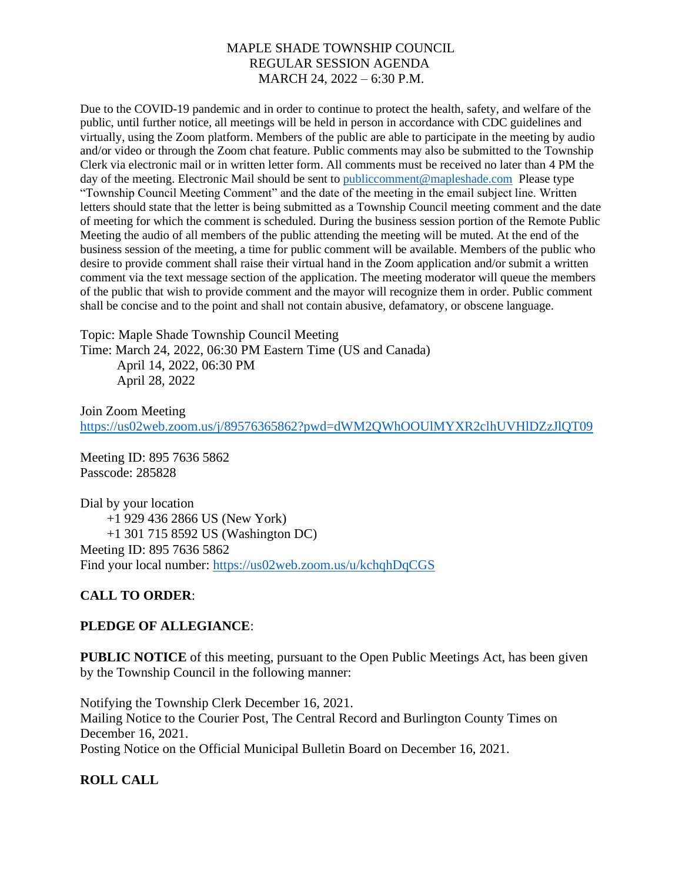Due to the COVID-19 pandemic and in order to continue to protect the health, safety, and welfare of the public, until further notice, all meetings will be held in person in accordance with CDC guidelines and virtually, using the Zoom platform. Members of the public are able to participate in the meeting by audio and/or video or through the Zoom chat feature. Public comments may also be submitted to the Township Clerk via electronic mail or in written letter form. All comments must be received no later than 4 PM the day of the meeting. Electronic Mail should be sent to [publiccomment@mapleshade.com](mailto:publiccomment@mapleshade.com) Please type "Township Council Meeting Comment" and the date of the meeting in the email subject line. Written letters should state that the letter is being submitted as a Township Council meeting comment and the date of meeting for which the comment is scheduled. During the business session portion of the Remote Public Meeting the audio of all members of the public attending the meeting will be muted. At the end of the business session of the meeting, a time for public comment will be available. Members of the public who desire to provide comment shall raise their virtual hand in the Zoom application and/or submit a written comment via the text message section of the application. The meeting moderator will queue the members of the public that wish to provide comment and the mayor will recognize them in order. Public comment shall be concise and to the point and shall not contain abusive, defamatory, or obscene language.

Topic: Maple Shade Township Council Meeting Time: March 24, 2022, 06:30 PM Eastern Time (US and Canada) April 14, 2022, 06:30 PM April 28, 2022

Join Zoom Meeting <https://us02web.zoom.us/j/89576365862?pwd=dWM2QWhOOUlMYXR2clhUVHlDZzJlQT09>

Meeting ID: 895 7636 5862 Passcode: 285828

Dial by your location +1 929 436 2866 US (New York) +1 301 715 8592 US (Washington DC) Meeting ID: 895 7636 5862 Find your local number:<https://us02web.zoom.us/u/kchqhDqCGS>

# **CALL TO ORDER**:

#### **PLEDGE OF ALLEGIANCE**:

**PUBLIC NOTICE** of this meeting, pursuant to the Open Public Meetings Act, has been given by the Township Council in the following manner:

Notifying the Township Clerk December 16, 2021. Mailing Notice to the Courier Post, The Central Record and Burlington County Times on December 16, 2021. Posting Notice on the Official Municipal Bulletin Board on December 16, 2021.

# **ROLL CALL**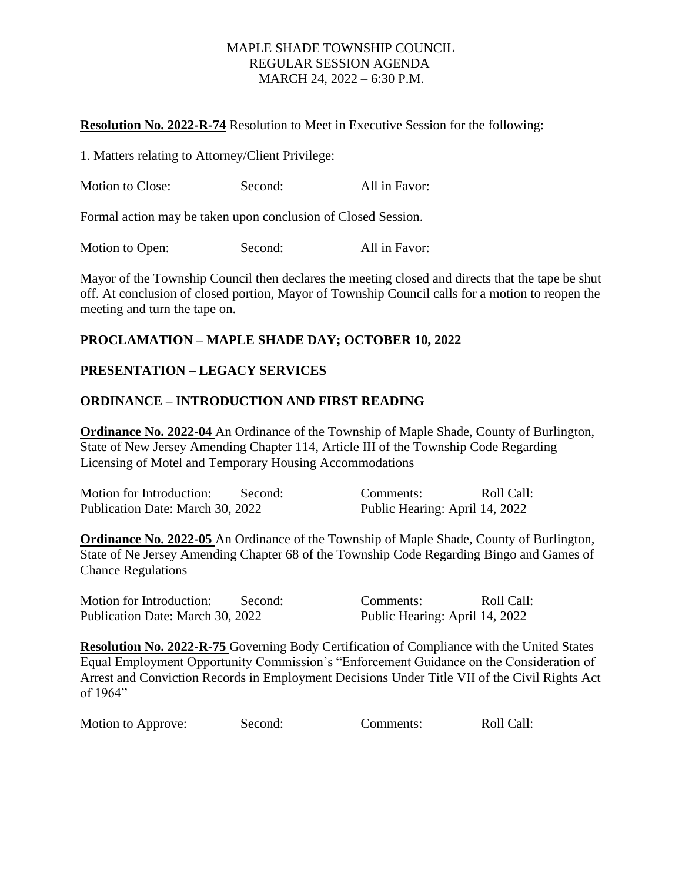#### **Resolution No. 2022-R-74** Resolution to Meet in Executive Session for the following:

1. Matters relating to Attorney/Client Privilege:

| <b>Motion to Close:</b> | Second: | All in Favor: |
|-------------------------|---------|---------------|
|-------------------------|---------|---------------|

Formal action may be taken upon conclusion of Closed Session.

Motion to Open: Second: All in Favor:

Mayor of the Township Council then declares the meeting closed and directs that the tape be shut off. At conclusion of closed portion, Mayor of Township Council calls for a motion to reopen the meeting and turn the tape on.

# **PROCLAMATION – MAPLE SHADE DAY; OCTOBER 10, 2022**

# **PRESENTATION – LEGACY SERVICES**

# **ORDINANCE – INTRODUCTION AND FIRST READING**

**Ordinance No. 2022-04** An Ordinance of the Township of Maple Shade, County of Burlington, State of New Jersey Amending Chapter 114, Article III of the Township Code Regarding Licensing of Motel and Temporary Housing Accommodations

| Motion for Introduction:         | Second: | Comments:                      | Roll Call: |
|----------------------------------|---------|--------------------------------|------------|
| Publication Date: March 30, 2022 |         | Public Hearing: April 14, 2022 |            |

**Ordinance No. 2022-05** An Ordinance of the Township of Maple Shade, County of Burlington, State of Ne Jersey Amending Chapter 68 of the Township Code Regarding Bingo and Games of Chance Regulations

Motion for Introduction: Second: Comments: Roll Call: Publication Date: March 30, 2022 Public Hearing: April 14, 2022

**Resolution No. 2022-R-75** Governing Body Certification of Compliance with the United States Equal Employment Opportunity Commission's "Enforcement Guidance on the Consideration of Arrest and Conviction Records in Employment Decisions Under Title VII of the Civil Rights Act of 1964"

Motion to Approve: Second: Comments: Roll Call: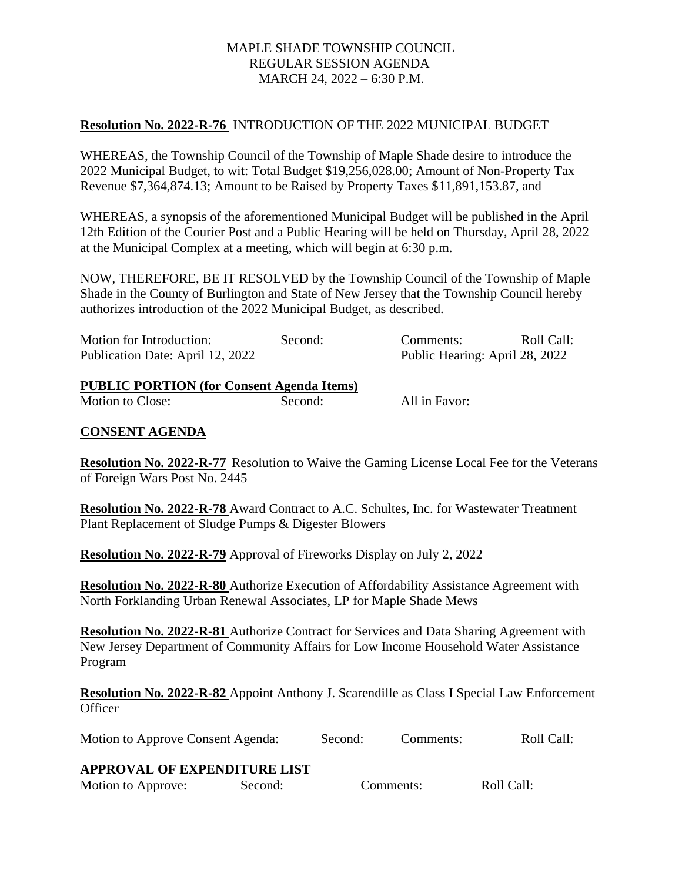# **Resolution No. 2022-R-76** INTRODUCTION OF THE 2022 MUNICIPAL BUDGET

WHEREAS, the Township Council of the Township of Maple Shade desire to introduce the 2022 Municipal Budget, to wit: Total Budget \$19,256,028.00; Amount of Non-Property Tax Revenue \$7,364,874.13; Amount to be Raised by Property Taxes \$11,891,153.87, and

WHEREAS, a synopsis of the aforementioned Municipal Budget will be published in the April 12th Edition of the Courier Post and a Public Hearing will be held on Thursday, April 28, 2022 at the Municipal Complex at a meeting, which will begin at 6:30 p.m.

NOW, THEREFORE, BE IT RESOLVED by the Township Council of the Township of Maple Shade in the County of Burlington and State of New Jersey that the Township Council hereby authorizes introduction of the 2022 Municipal Budget, as described.

| Motion for Introduction:         | Second: | Roll Call:<br>Comments:        |
|----------------------------------|---------|--------------------------------|
| Publication Date: April 12, 2022 |         | Public Hearing: April 28, 2022 |

#### **PUBLIC PORTION (for Consent Agenda Items)**

Motion to Close: Second: All in Favor:

#### **CONSENT AGENDA**

**Resolution No. 2022-R-77** Resolution to Waive the Gaming License Local Fee for the Veterans of Foreign Wars Post No. 2445

**Resolution No. 2022-R-78** Award Contract to A.C. Schultes, Inc. for Wastewater Treatment Plant Replacement of Sludge Pumps & Digester Blowers

**Resolution No. 2022-R-79** Approval of Fireworks Display on July 2, 2022

**Resolution No. 2022-R-80** Authorize Execution of Affordability Assistance Agreement with North Forklanding Urban Renewal Associates, LP for Maple Shade Mews

**Resolution No. 2022-R-81** Authorize Contract for Services and Data Sharing Agreement with New Jersey Department of Community Affairs for Low Income Household Water Assistance Program

**Resolution No. 2022-R-82** Appoint Anthony J. Scarendille as Class I Special Law Enforcement **Officer** 

Motion to Approve Consent Agenda: Second: Comments: Roll Call:

#### **APPROVAL OF EXPENDITURE LIST**

Motion to Approve: Second: Comments: Roll Call: